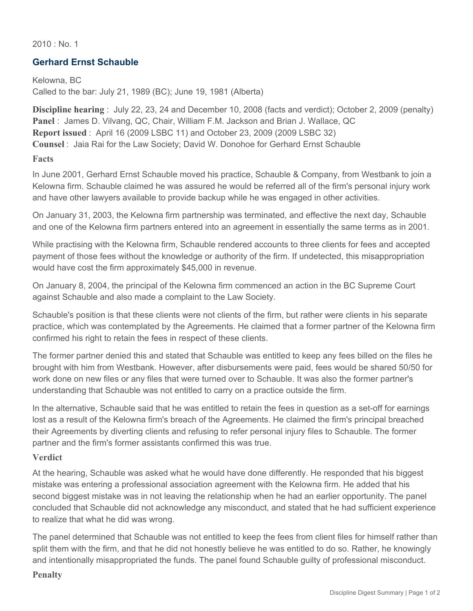$2010 \cdot$  No. 1

## **Gerhard Ernst Schauble**

Kelowna, BC Called to the bar: July 21, 1989 (BC); June 19, 1981 (Alberta)

**Discipline hearing** : July 22, 23, 24 and December 10, 2008 (facts and verdict); October 2, 2009 (penalty) **Panel** : James D. Vilvang, QC, Chair, William F.M. Jackson and Brian J. Wallace, QC **Report issued** : April 16 (2009 LSBC 11) and October 23, 2009 (2009 LSBC 32) **Counsel** : Jaia Rai for the Law Society; David W. Donohoe for Gerhard Ernst Schauble

**Facts**

In June 2001, Gerhard Ernst Schauble moved his practice, Schauble & Company, from Westbank to join a Kelowna firm. Schauble claimed he was assured he would be referred all of the firm's personal injury work and have other lawyers available to provide backup while he was engaged in other activities.

On January 31, 2003, the Kelowna firm partnership was terminated, and effective the next day, Schauble and one of the Kelowna firm partners entered into an agreement in essentially the same terms as in 2001.

While practising with the Kelowna firm, Schauble rendered accounts to three clients for fees and accepted payment of those fees without the knowledge or authority of the firm. If undetected, this misappropriation would have cost the firm approximately \$45,000 in revenue.

On January 8, 2004, the principal of the Kelowna firm commenced an action in the BC Supreme Court against Schauble and also made a complaint to the Law Society.

Schauble's position is that these clients were not clients of the firm, but rather were clients in his separate practice, which was contemplated by the Agreements. He claimed that a former partner of the Kelowna firm confirmed his right to retain the fees in respect of these clients.

The former partner denied this and stated that Schauble was entitled to keep any fees billed on the files he brought with him from Westbank. However, after disbursements were paid, fees would be shared 50/50 for work done on new files or any files that were turned over to Schauble. It was also the former partner's understanding that Schauble was not entitled to carry on a practice outside the firm.

In the alternative, Schauble said that he was entitled to retain the fees in question as a set-off for earnings lost as a result of the Kelowna firm's breach of the Agreements. He claimed the firm's principal breached their Agreements by diverting clients and refusing to refer personal injury files to Schauble. The former partner and the firm's former assistants confirmed this was true.

## **Verdict**

At the hearing, Schauble was asked what he would have done differently. He responded that his biggest mistake was entering a professional association agreement with the Kelowna firm. He added that his second biggest mistake was in not leaving the relationship when he had an earlier opportunity. The panel concluded that Schauble did not acknowledge any misconduct, and stated that he had sufficient experience to realize that what he did was wrong.

The panel determined that Schauble was not entitled to keep the fees from client files for himself rather than split them with the firm, and that he did not honestly believe he was entitled to do so. Rather, he knowingly and intentionally misappropriated the funds. The panel found Schauble guilty of professional misconduct.

## **Penalty**